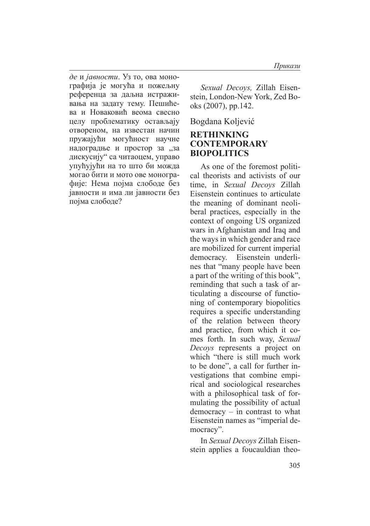*де* и *јавности*. Уз то, ова монографија је могућа и пожељну референца за даљна истраживања на задату тему. Пешићева и Новаковић веома свесно целу проблематику остављају отвореном, на известан начин пружајући могућност научне надоградње и простор за "за дискусију" са читаоцем, управо упућујући на то што би можда могао бити и мото ове монографије: Нема појма слободе без јавности и има ли јавности без појма слободе?

*Sexual Decoys,* Zillah Eisenstein, London-New York, Zed Books (2007), pp.142.

Bogdana Koljević

## **RETHINKING CONTEMPORARY BIOPOLITICS**

As one of the foremost political theorists and activists of our time, in *Sexual Decoys* Zillah Eisenstein continues to articulate the meaning of dominant neoliberal practices, especially in the context of ongoing US organized wars in Afghanistan and Iraq and the ways in which gender and race are mobilized for current imperial democracy. Eisenstein underlines that "many people have been a part of the writing of this book", reminding that such a task of articulating a discourse of functioning of contemporary biopolitics requires a specific understanding of the relation between theory and practice, from which it comes forth. In such way, *Sexual Decoys* represents a project on which "there is still much work to be done", a call for further investigations that combine empirical and sociological researches with a philosophical task of formulating the possibility of actual democracy – in contrast to what Eisenstein names as "imperial democracy".

In *Sexual Decoys* Zillah Eisenstein applies a foucauldian theo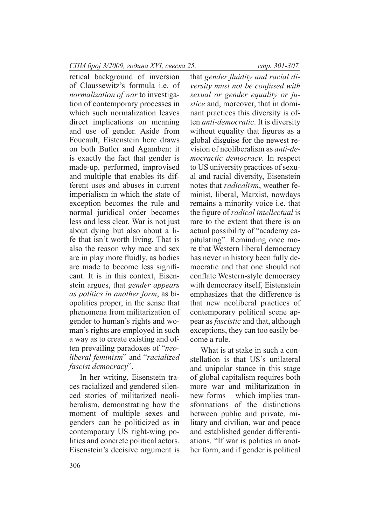retical background of inversion of Claussewitz's formula i.e. of *normalization of war* to investigation of contemporary processes in which such normalization leaves direct implications on meaning and use of gender. Aside from Foucault, Eistenstein here draws on both Butler and Agamben: it is exactly the fact that gender is made-up, performed, improvised and multiple that enables its different uses and abuses in current imperialism in which the state of exception becomes the rule and normal juridical order becomes less and less clear. War is not just about dying but also about a life that isn't worth living. That is also the reason why race and sex are in play more fluidly, as bodies are made to become less significant. It is in this context, Eisenstein argues, that *gender appears as politics in another form*, as biopolitics proper, in the sense that phenomena from militarization of gender to human's rights and woman's rights are employed in such a way as to create existing and often prevailing paradoxes of "*neoliberal feminism*" and "*racialized fascist democracy*".

In her writing, Eisenstein traces racialized and gendered silenced stories of militarized neoliberalism, demonstrating how the moment of multiple sexes and genders can be politicized as in contemporary US right-wing politics and concrete political actors. Eisenstein's decisive argument is

that *gender fluidity and racial diversity must not be confused with sexual or gender equality or justice* and, moreover, that in dominant practices this diversity is often *anti-democratic*. It is diversity without equality that figures as a global disguise for the newest revision of neoliberalism as *anti-democractic democracy*. In respect to US university practices of sexual and racial diversity, Eisenstein notes that *radicalism*, weather feminist, liberal, Marxist, nowdays remains a minority voice i.e. that the figure of *radical intellectual* is rare to the extent that there is an actual possibility of "academy capitulating". Reminding once more that Western liberal democracy has never in history been fully democratic and that one should not conflate Western-style democracy with democracy itself, Eistenstein emphasizes that the difference is that new neoliberal practices of contemporary political scene appear as *fascistic* and that, although exceptions, they can too easily become a rule.

What is at stake in such a constellation is that US's unilateral and unipolar stance in this stage of global capitalism requires both more war and militarization in new forms – which implies transformations of the distinctions between public and private, military and civilian, war and peace and established gender differentiations. "If war is politics in another form, and if gender is political